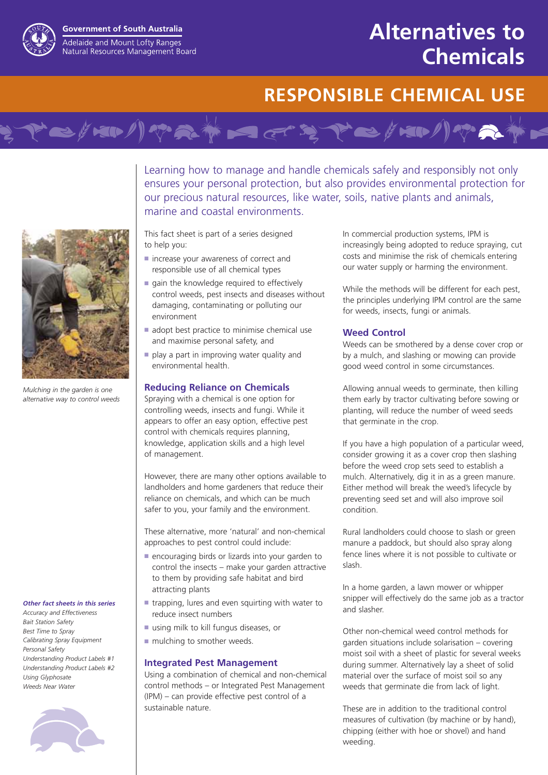# **Alternatives to Chemicals**

## **RESPONSIBLE CHEMICAL USE**

Learning how to manage and handle chemicals safely and responsibly not only ensures your personal protection, but also provides environmental protection for our precious natural resources, like water, soils, native plants and animals, marine and coastal environments.

This fact sheet is part of a series designed to help you:

- increase your awareness of correct and responsible use of all chemical types
- gain the knowledge required to effectively control weeds, pest insects and diseases without damaging, contaminating or polluting our environment

Mation of the state of the from

- adopt best practice to minimise chemical use and maximise personal safety, and
- play a part in improving water quality and environmental health.

#### **Reducing Reliance on Chemicals**

Spraying with a chemical is one option for controlling weeds, insects and fungi. While it appears to offer an easy option, effective pest control with chemicals requires planning, knowledge, application skills and a high level of management.

However, there are many other options available to landholders and home gardeners that reduce their reliance on chemicals, and which can be much safer to you, your family and the environment.

These alternative, more 'natural' and non-chemical approaches to pest control could include:

- encouraging birds or lizards into your garden to control the insects – make your garden attractive to them by providing safe habitat and bird attracting plants
- trapping, lures and even squirting with water to reduce insect numbers
- using milk to kill fungus diseases, or
- mulching to smother weeds.

#### **Integrated Pest Management**

Using a combination of chemical and non-chemical control methods – or Integrated Pest Management (IPM) – can provide effective pest control of a sustainable nature.

In commercial production systems, IPM is increasingly being adopted to reduce spraying, cut costs and minimise the risk of chemicals entering our water supply or harming the environment.

While the methods will be different for each pest, the principles underlying IPM control are the same for weeds, insects, fungi or animals.

#### **Weed Control**

Weeds can be smothered by a dense cover crop or by a mulch, and slashing or mowing can provide good weed control in some circumstances.

Allowing annual weeds to germinate, then killing them early by tractor cultivating before sowing or planting, will reduce the number of weed seeds that germinate in the crop.

If you have a high population of a particular weed, consider growing it as a cover crop then slashing before the weed crop sets seed to establish a mulch. Alternatively, dig it in as a green manure. Either method will break the weed's lifecycle by preventing seed set and will also improve soil condition.

Rural landholders could choose to slash or green manure a paddock, but should also spray along fence lines where it is not possible to cultivate or slash.

In a home garden, a lawn mower or whipper snipper will effectively do the same job as a tractor and slasher.

Other non-chemical weed control methods for garden situations include solarisation – covering moist soil with a sheet of plastic for several weeks during summer. Alternatively lay a sheet of solid material over the surface of moist soil so any weeds that germinate die from lack of light.

These are in addition to the traditional control measures of cultivation (by machine or by hand), chipping (either with hoe or shovel) and hand weeding.



#### *Other fact sheets in this series*

*Accuracy and Effectiveness Bait Station Safety Best Time to Spray Calibrating Spray Equipment Personal Safety Understanding Product Labels #1 Understanding Product Labels #2 Using Glyphosate Weeds Near Water*





**Government of South Australia** Adelaide and Mount Lofty Ranges Natural Resources Management Board